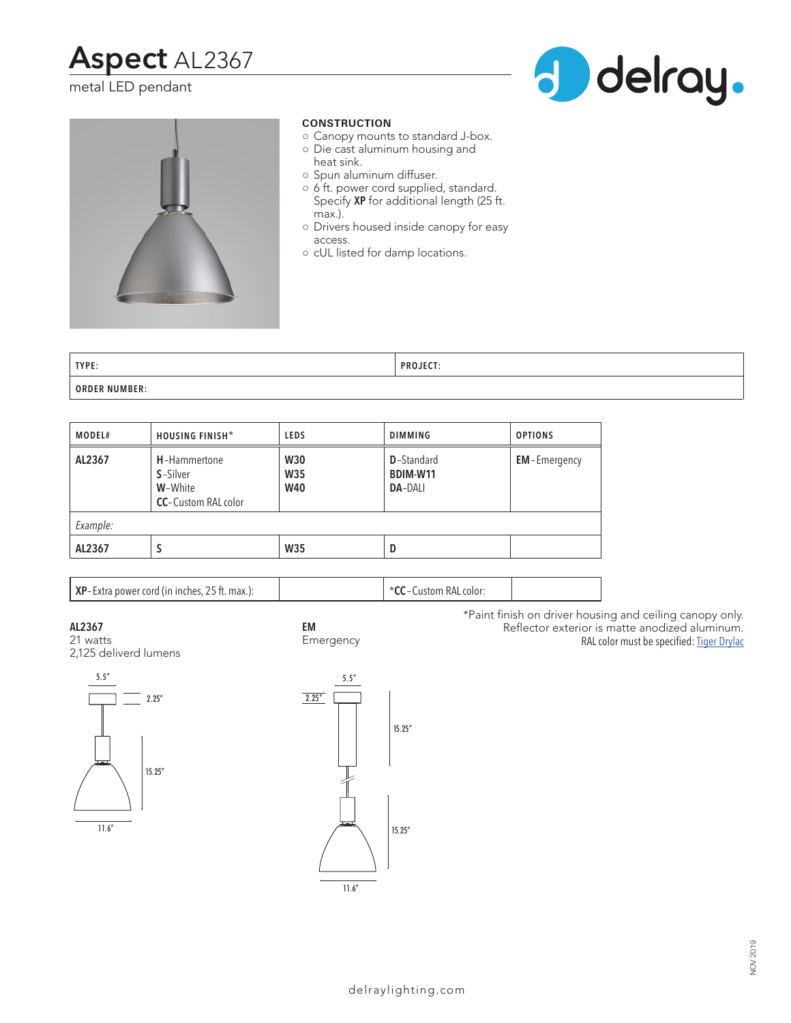# **Aspect** AL2367

### metal LED pendant





#### **CONSTRUCTION**

- Canopy mounts to standard J-box.
- Die cast aluminum housing and heat sink.
- Spun aluminum diffuser.
- 6 ft. power cord supplied, standard. Specify **XP** for additional length (25 ft. max.).
- Drivers housed inside canopy for easy access.
- cUL listed for damp locations.

| TYPE:                | <b>PROJECT:</b> |
|----------------------|-----------------|
| <b>ORDER NUMBER:</b> |                 |

| MODEL#   | HOUSING FINISH*                                                            | <b>LEDS</b>                            | <b>DIMMING</b>                                   | <b>OPTIONS</b>      |  |  |
|----------|----------------------------------------------------------------------------|----------------------------------------|--------------------------------------------------|---------------------|--|--|
| AL2367   | H-Hammertone<br><b>S</b> -Silver<br>W-White<br><b>CC</b> -Custom RAL color | <b>W30</b><br><b>W35</b><br><b>W40</b> | <b>D</b> -Standard<br>BDIM-W11<br><b>DA-DALI</b> | <b>EM-Emergency</b> |  |  |
| Example: |                                                                            |                                        |                                                  |                     |  |  |
| AL2367   | S                                                                          | <b>W35</b>                             | D                                                |                     |  |  |

**EM**

| <b>XP</b> -Extra power cord (in inches, 25 ft. max.): | l  * <b>CC</b> – Custom RAL color: |
|-------------------------------------------------------|------------------------------------|
|-------------------------------------------------------|------------------------------------|

**AL2367**

21 watts 2,125 deliverd lumens





11.6"

\*Paint finish on driver housing and ceiling canopy only. Reflector exterior is matte anodized aluminum. RAL color must be specified: Tiger Drylac